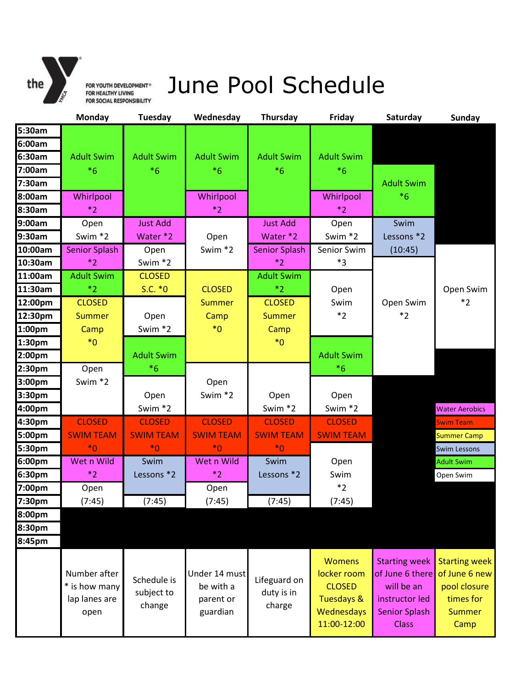

FOR YOUTH DEVELOPMENT® JUNE POOl Scheduled

|                    | Monday                                                 | <b>Tuesday</b>                      | Wednesday                                           | <b>Thursday</b>                      | Friday                                                                                   | Saturday                                                                                                        | <b>Sunday</b>                                                                               |
|--------------------|--------------------------------------------------------|-------------------------------------|-----------------------------------------------------|--------------------------------------|------------------------------------------------------------------------------------------|-----------------------------------------------------------------------------------------------------------------|---------------------------------------------------------------------------------------------|
| 5:30am             |                                                        |                                     |                                                     |                                      |                                                                                          |                                                                                                                 |                                                                                             |
| 6:00am             |                                                        |                                     |                                                     |                                      |                                                                                          |                                                                                                                 |                                                                                             |
| 6:30am             | <b>Adult Swim</b>                                      | <b>Adult Swim</b>                   | <b>Adult Swim</b>                                   | <b>Adult Swim</b>                    | <b>Adult Swim</b>                                                                        |                                                                                                                 |                                                                                             |
| 7:00am             | $*6$                                                   | $*6$                                | $*6$                                                | $*6$                                 | $*6$                                                                                     |                                                                                                                 |                                                                                             |
| 7:30am             |                                                        |                                     |                                                     |                                      |                                                                                          | <b>Adult Swim</b>                                                                                               |                                                                                             |
| 8:00am             | Whirlpool                                              |                                     | Whirlpool                                           |                                      | Whirlpool                                                                                | $*6$                                                                                                            |                                                                                             |
| 8:30am             | $*2$                                                   |                                     | $*2$                                                |                                      | $*2$                                                                                     |                                                                                                                 |                                                                                             |
| 9:00am             | Open                                                   | <b>Just Add</b>                     |                                                     | <b>Just Add</b>                      | Open                                                                                     | Swim                                                                                                            |                                                                                             |
| 9:30am             | Swim *2                                                | Water *2                            | Open                                                | Water *2                             | Swim *2                                                                                  | Lessons *2                                                                                                      |                                                                                             |
| 10:00am            | <b>Senior Splash</b>                                   | Open                                | Swim *2                                             | <b>Senior Splash</b>                 | Senior Swim                                                                              | (10:45)                                                                                                         |                                                                                             |
| 10:30am            | $*_{2}$                                                | Swim *2                             |                                                     | $*_{2}$                              | $*3$                                                                                     |                                                                                                                 |                                                                                             |
| 11:00am            | <b>Adult Swim</b>                                      | <b>CLOSED</b>                       |                                                     | <b>Adult Swim</b>                    |                                                                                          |                                                                                                                 |                                                                                             |
| 11:30am            | $*_{2}$                                                | $S.C. *0$                           | <b>CLOSED</b>                                       | $*_{2}$                              | Open                                                                                     |                                                                                                                 | Open Swim                                                                                   |
| 12:00pm            | <b>CLOSED</b>                                          |                                     | <b>Summer</b>                                       | <b>CLOSED</b>                        | Swim                                                                                     | Open Swim                                                                                                       | $*2$                                                                                        |
| 12:30pm            | <b>Summer</b>                                          | Open                                | Camp                                                | <b>Summer</b>                        | $*2$                                                                                     | $*_{2}$                                                                                                         |                                                                                             |
| 1:00pm             | Camp                                                   | Swim *2                             | $*_{0}$                                             | Camp                                 |                                                                                          |                                                                                                                 |                                                                                             |
| 1:30pm             | $*_{0}$                                                |                                     |                                                     | $*_{0}$                              |                                                                                          |                                                                                                                 |                                                                                             |
| 2:00 <sub>pm</sub> |                                                        | <b>Adult Swim</b>                   |                                                     |                                      | <b>Adult Swim</b>                                                                        |                                                                                                                 |                                                                                             |
| 2:30pm             | Open                                                   | $*6$                                |                                                     |                                      | $*6$                                                                                     |                                                                                                                 |                                                                                             |
| 3:00 <sub>pm</sub> | Swim *2                                                |                                     | Open                                                |                                      |                                                                                          |                                                                                                                 |                                                                                             |
| 3:30pm             |                                                        | Open                                | Swim *2                                             | Open                                 | Open                                                                                     |                                                                                                                 |                                                                                             |
| 4:00pm             |                                                        | Swim *2                             |                                                     | Swim *2                              | Swim *2                                                                                  |                                                                                                                 | <b>Water Aerobics</b>                                                                       |
| 4:30pm             | <b>CLOSED</b>                                          | <b>CLOSED</b>                       | <b>CLOSED</b>                                       | <b>CLOSED</b>                        | <b>CLOSED</b>                                                                            |                                                                                                                 | <b>Swim Team</b>                                                                            |
| 5:00pm             | <b>SWIM TEAM</b>                                       | <b>SWIM TEAM</b>                    | <b>SWIM TEAM</b>                                    | <b>SWIM TEAM</b>                     | <b>SWIM TEAM</b>                                                                         |                                                                                                                 | <b>Summer Camp</b>                                                                          |
| 5:30pm             | $*_{0}$                                                | $*_{0}$                             | $*_{0}$                                             | $*_{0}$                              |                                                                                          |                                                                                                                 | <b>Swim Lessons</b>                                                                         |
| 6:00pm             | Wet n Wild                                             | Swim                                | Wet n Wild                                          | Swim                                 | Open                                                                                     |                                                                                                                 | <b>Adult Swim</b>                                                                           |
| 6:30pm             | $*_{2}$                                                | Lessons *2                          | $*2$                                                | Lessons *2                           | Swim                                                                                     |                                                                                                                 | Open Swim                                                                                   |
| 7:00pm             | Open                                                   |                                     | Open                                                |                                      | $*_{2}$                                                                                  |                                                                                                                 |                                                                                             |
| 7:30pm             | (7:45)                                                 | (7:45)                              | (7:45)                                              | (7:45)                               | (7:45)                                                                                   |                                                                                                                 |                                                                                             |
| 8:00pm             |                                                        |                                     |                                                     |                                      |                                                                                          |                                                                                                                 |                                                                                             |
| 8:30pm             |                                                        |                                     |                                                     |                                      |                                                                                          |                                                                                                                 |                                                                                             |
| 8:45pm             |                                                        |                                     |                                                     |                                      |                                                                                          |                                                                                                                 |                                                                                             |
|                    | Number after<br>* is how many<br>lap lanes are<br>open | Schedule is<br>subject to<br>change | Under 14 must<br>be with a<br>parent or<br>guardian | Lifeguard on<br>duty is in<br>charge | <b>Womens</b><br>locker room<br><b>CLOSED</b><br>Tuesdays &<br>Wednesdays<br>11:00-12:00 | <b>Starting week</b><br>of June 6 there<br>will be an<br>instructor led<br><b>Senior Splash</b><br><b>Class</b> | <b>Starting week</b><br>of June 6 new<br>pool closure<br>times for<br><b>Summer</b><br>Camp |